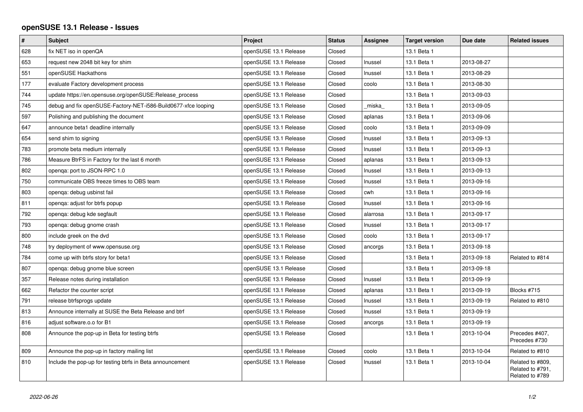## **openSUSE 13.1 Release - Issues**

| $\vert$ # | <b>Subject</b>                                                 | Project               | <b>Status</b> | Assignee | <b>Target version</b> | Due date   | <b>Related issues</b>                                   |
|-----------|----------------------------------------------------------------|-----------------------|---------------|----------|-----------------------|------------|---------------------------------------------------------|
| 628       | fix NET iso in openQA                                          | openSUSE 13.1 Release | Closed        |          | 13.1 Beta 1           |            |                                                         |
| 653       | request new 2048 bit key for shim                              | openSUSE 13.1 Release | Closed        | Inussel  | 13.1 Beta 1           | 2013-08-27 |                                                         |
| 551       | openSUSE Hackathons                                            | openSUSE 13.1 Release | Closed        | Inussel  | 13.1 Beta 1           | 2013-08-29 |                                                         |
| 177       | evaluate Factory development process                           | openSUSE 13.1 Release | Closed        | coolo    | 13.1 Beta 1           | 2013-08-30 |                                                         |
| 744       | update https://en.opensuse.org/openSUSE:Release_process        | openSUSE 13.1 Release | Closed        |          | 13.1 Beta 1           | 2013-09-03 |                                                         |
| 745       | debug and fix openSUSE-Factory-NET-i586-Build0677-xfce looping | openSUSE 13.1 Release | Closed        | miska    | 13.1 Beta 1           | 2013-09-05 |                                                         |
| 597       | Polishing and publishing the document                          | openSUSE 13.1 Release | Closed        | aplanas  | 13.1 Beta 1           | 2013-09-06 |                                                         |
| 647       | announce beta1 deadline internally                             | openSUSE 13.1 Release | Closed        | coolo    | 13.1 Beta 1           | 2013-09-09 |                                                         |
| 654       | send shim to signing                                           | openSUSE 13.1 Release | Closed        | Inussel  | 13.1 Beta 1           | 2013-09-13 |                                                         |
| 783       | promote beta medium internally                                 | openSUSE 13.1 Release | Closed        | Inussel  | 13.1 Beta 1           | 2013-09-13 |                                                         |
| 786       | Measure BtrFS in Factory for the last 6 month                  | openSUSE 13.1 Release | Closed        | aplanas  | 13.1 Beta 1           | 2013-09-13 |                                                         |
| 802       | openga: port to JSON-RPC 1.0                                   | openSUSE 13.1 Release | Closed        | Inussel  | 13.1 Beta 1           | 2013-09-13 |                                                         |
| 750       | communicate OBS freeze times to OBS team                       | openSUSE 13.1 Release | Closed        | Inussel  | 13.1 Beta 1           | 2013-09-16 |                                                         |
| 803       | openga: debug usbinst fail                                     | openSUSE 13.1 Release | Closed        | cwh      | 13.1 Beta 1           | 2013-09-16 |                                                         |
| 811       | openga: adjust for btrfs popup                                 | openSUSE 13.1 Release | Closed        | Inussel  | 13.1 Beta 1           | 2013-09-16 |                                                         |
| 792       | openqa: debug kde segfault                                     | openSUSE 13.1 Release | Closed        | alarrosa | 13.1 Beta 1           | 2013-09-17 |                                                         |
| 793       | openga: debug gnome crash                                      | openSUSE 13.1 Release | Closed        | Inussel  | 13.1 Beta 1           | 2013-09-17 |                                                         |
| 800       | include greek on the dvd                                       | openSUSE 13.1 Release | Closed        | coolo    | 13.1 Beta 1           | 2013-09-17 |                                                         |
| 748       | try deployment of www.opensuse.org                             | openSUSE 13.1 Release | Closed        | ancorgs  | 13.1 Beta 1           | 2013-09-18 |                                                         |
| 784       | come up with btrfs story for beta1                             | openSUSE 13.1 Release | Closed        |          | 13.1 Beta 1           | 2013-09-18 | Related to #814                                         |
| 807       | openqa: debug gnome blue screen                                | openSUSE 13.1 Release | Closed        |          | 13.1 Beta 1           | 2013-09-18 |                                                         |
| 357       | Release notes during installation                              | openSUSE 13.1 Release | Closed        | Inussel  | 13.1 Beta 1           | 2013-09-19 |                                                         |
| 662       | Refactor the counter script                                    | openSUSE 13.1 Release | Closed        | aplanas  | 13.1 Beta 1           | 2013-09-19 | Blocks #715                                             |
| 791       | release btrfsprogs update                                      | openSUSE 13.1 Release | Closed        | Inussel  | 13.1 Beta 1           | 2013-09-19 | Related to #810                                         |
| 813       | Announce internally at SUSE the Beta Release and btrf          | openSUSE 13.1 Release | Closed        | Inussel  | 13.1 Beta 1           | 2013-09-19 |                                                         |
| 816       | adjust software.o.o for B1                                     | openSUSE 13.1 Release | Closed        | ancorgs  | 13.1 Beta 1           | 2013-09-19 |                                                         |
| 808       | Announce the pop-up in Beta for testing btrfs                  | openSUSE 13.1 Release | Closed        |          | 13.1 Beta 1           | 2013-10-04 | Precedes #407.<br>Precedes #730                         |
| 809       | Announce the pop-up in factory mailing list                    | openSUSE 13.1 Release | Closed        | coolo    | 13.1 Beta 1           | 2013-10-04 | Related to #810                                         |
| 810       | Include the pop-up for testing btrfs in Beta announcement      | openSUSE 13.1 Release | Closed        | Inussel  | 13.1 Beta 1           | 2013-10-04 | Related to #809,<br>Related to #791,<br>Related to #789 |